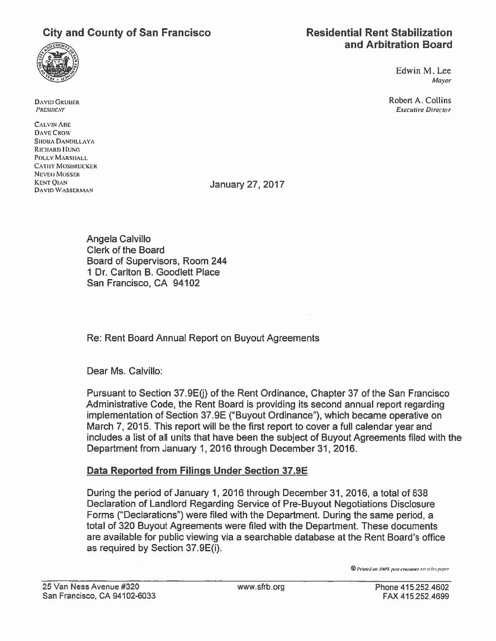# City and County of San Francisco Residential Rent Stabilization



Edwin M.Lee Mayor

**DAVID GRUBER** Robert A. Collins PRESIDENT Executive Director

CALVIN ABE DAVE CROW SIIOBA DANDILLAYA RICHARD HUNG POLLY MARSHALL **CATHY MOSBRUCKER** NEVEO MOSSER KENT QIAN January 27, 2017<br>DAVID WASSERMAN

Angela Calvillo Clerk of the Board Board of Supervisors, Room 244 1 Dr. Canton B. Goodlett Place San Francisco, CA 94102

Re: Rent Board Annual Report on Buyout Agreements

Dear Ms. Calvillo:

Pursuant to Section 37.9E(j) of the Rent Ordinance, Chapter 37 of the San Francisco Administrative Code, the Rent Board is providing its second annual repor<sup>t</sup> regarding implementation of Section 37.9E ("Buyout Ordinance"), which became operative on March 7, 2015. This repor<sup>t</sup> will be the first repor<sup>t</sup> to cover <sup>a</sup> full calendar year and includes <sup>a</sup> list of all units that have been the subject of Buyout Agreements filed with the Department from January 1, 2016 through December 31, 2016.

### Data Reported from Filings Under Section 37.9E

During the period of January 1, 2016 through December 31, 2016, <sup>a</sup> total of 838 Declaration of Landlord Regarding Service of Pre-Buyout Negotiations Disclosure Forms ("Declarations") were filed with the Department. During the same period, <sup>a</sup> total of 320 Buyout Agreements were filed with the Department. These documents are available for public viewing via <sup>a</sup> searchable database at the Rent Board's office as required by Section 37.9E(i).

 $\circledcirc$  Printed on, 100% post-consumer recycled paper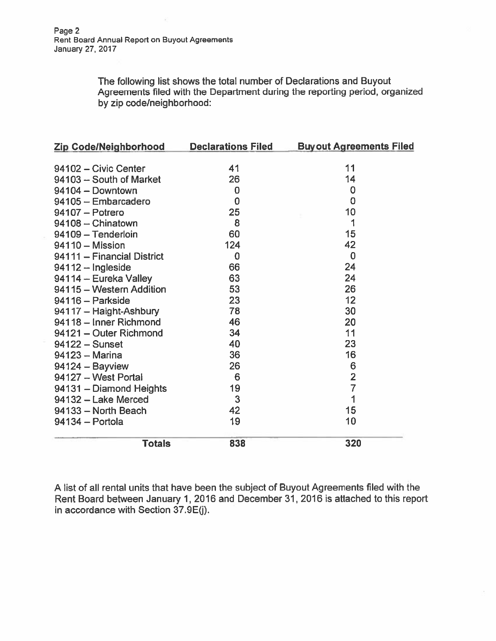The following list shows the total number of Declarations and Buyout Agreements filed with the Department during the reporting period, organized by zip code/neighborhood:

| Zip Code/Neighborhood      | <b>Declarations Filed</b> | <b>Buyout Agreements Filed</b> |
|----------------------------|---------------------------|--------------------------------|
|                            |                           |                                |
| 94102 - Civic Center       | 41                        | 11                             |
| 94103 - South of Market    | 26                        | 14                             |
| 94104 - Downtown           | $\bf{0}$                  | $\bf{0}$                       |
| 94105 - Embarcadero        | 0                         | $\overline{0}$                 |
| 94107 - Potrero            | 25                        | 10                             |
| 94108 - Chinatown          | 8                         | 1                              |
| 94109 - Tenderloin         | 60                        | 15                             |
| $94110 - Mission$          | 124                       | 42                             |
| 94111 - Financial District | 0                         | $\bf{0}$                       |
| 94112 - Ingleside          | 66                        | 24                             |
| 94114 - Eureka Valley      | 63                        | 24                             |
| 94115 - Western Addition   | 53                        | 26                             |
| 94116 - Parkside           | 23                        | 12                             |
| 94117 - Haight-Ashbury     | 78                        | 30                             |
| 94118 - Inner Richmond     | 46                        | 20                             |
| 94121 - Outer Richmond     | 34                        | 11                             |
| $94122 -$ Sunset           | 40                        | 23                             |
| 94123 - Marina             | 36                        | 16                             |
| $94124 - Bayview$          | 26                        | 6                              |
| 94127 - West Portal        | 6                         | $\overline{2}$                 |
| 94131 - Diamond Heights    | 19                        | $\overline{7}$                 |
| 94132 - Lake Merced        | 3                         | 1                              |
| 94133 - North Beach        | 42                        | 15                             |
| 94134 - Portola            | 19                        | 10                             |
| <b>Totals</b>              | 838                       | 320                            |

A list of all rental units that have been the subject of Buyout Agreements filed with the Rent Board between January 1, 2016 and December 31, 2016 is attached to this repor<sup>t</sup> in accordance with Section 37.9E(j).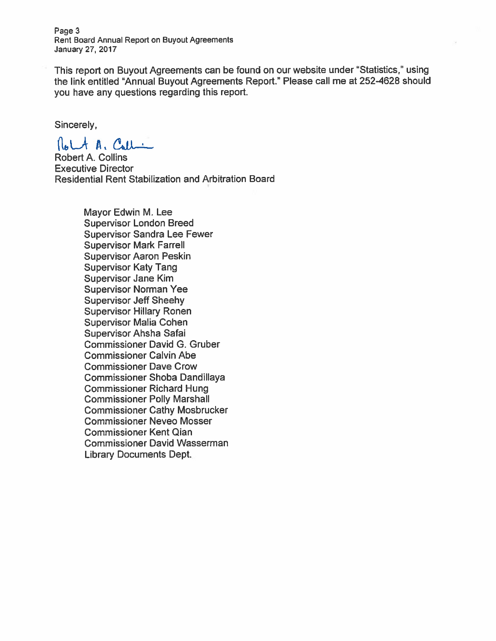Page 3 Rent Board Annual Report on Buyout Agreements January 27, 2017

This repor<sup>t</sup> on Buyout Agreements can be found on our website under "Statistics," using the link entitled "Annual Buyout Agreements Report." Please call me at 252-4628 should you have any questions regarding this report.

Sincerely,

Rolt A. Call

Robert A. Collins Executive Director Residential Rent Stabilization and Arbitration Board

> Mayor Edwin M. Lee Supervisor London Breed Supervisor Sandra Lee Fewer Supervisor Mark Farrell Supervisor Aaron Peskin Supervisor Katy Tang Supervisor Jane Kim Supervisor Norman Yee Supervisor Jeff Sheehy Supervisor Hillary Ronen Supervisor Malia Cohen Supervisor Ahsha Safai Commissioner David C. Gruber Commissioner Calvin Abe Commissioner Dave Crow Commissioner Shoba Dandillaya Commissioner Richard Hung Commissioner Polly Marshall Commissioner Cathy Mosbrucker Commissioner Neveo Mosser Commissioner Kent Qian Commissioner David Wasserman Library Documents Dept.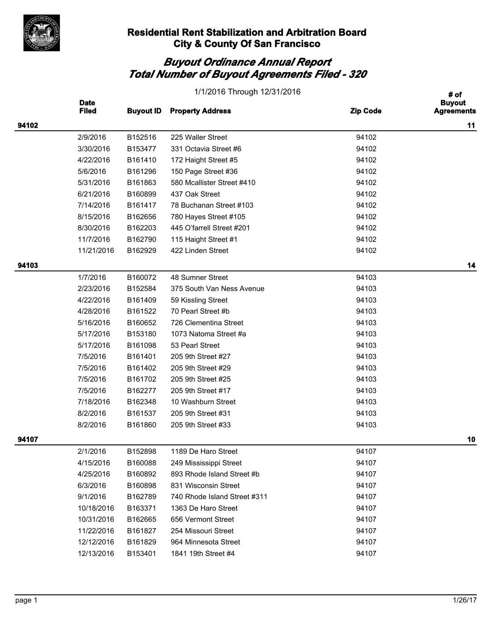

|       | 1/1/2016 Through 12/31/2016 |                  |                              |                 |                                            |
|-------|-----------------------------|------------------|------------------------------|-----------------|--------------------------------------------|
|       | <b>Date</b><br><b>Filed</b> | <b>Buyout ID</b> | <b>Property Address</b>      | <b>Zip Code</b> | # of<br><b>Buyout</b><br><b>Agreements</b> |
| 94102 |                             |                  |                              |                 | 11                                         |
|       | 2/9/2016                    | B152516          | 225 Waller Street            | 94102           |                                            |
|       | 3/30/2016                   | B153477          | 331 Octavia Street #6        | 94102           |                                            |
|       | 4/22/2016                   | B161410          | 172 Haight Street #5         | 94102           |                                            |
|       | 5/6/2016                    | B161296          | 150 Page Street #36          | 94102           |                                            |
|       | 5/31/2016                   | B161863          | 580 Mcallister Street #410   | 94102           |                                            |
|       | 6/21/2016                   | B160899          | 437 Oak Street               | 94102           |                                            |
|       | 7/14/2016                   | B161417          | 78 Buchanan Street #103      | 94102           |                                            |
|       | 8/15/2016                   | B162656          | 780 Hayes Street #105        | 94102           |                                            |
|       | 8/30/2016                   | B162203          | 445 O'farrell Street #201    | 94102           |                                            |
|       | 11/7/2016                   | B162790          | 115 Haight Street #1         | 94102           |                                            |
|       | 11/21/2016                  | B162929          | 422 Linden Street            | 94102           |                                            |
| 94103 |                             |                  |                              |                 | 14                                         |
|       | 1/7/2016                    | B160072          | 48 Sumner Street             | 94103           |                                            |
|       | 2/23/2016                   | B152584          | 375 South Van Ness Avenue    | 94103           |                                            |
|       | 4/22/2016                   | B161409          | 59 Kissling Street           | 94103           |                                            |
|       | 4/28/2016                   | B161522          | 70 Pearl Street #b           | 94103           |                                            |
|       | 5/16/2016                   | B160652          | 726 Clementina Street        | 94103           |                                            |
|       | 5/17/2016                   | B153180          | 1073 Natoma Street #a        | 94103           |                                            |
|       | 5/17/2016                   | B161098          | 53 Pearl Street              | 94103           |                                            |
|       | 7/5/2016                    | B161401          | 205 9th Street #27           | 94103           |                                            |
|       | 7/5/2016                    | B161402          | 205 9th Street #29           | 94103           |                                            |
|       | 7/5/2016                    | B161702          | 205 9th Street #25           | 94103           |                                            |
|       | 7/5/2016                    | B162277          | 205 9th Street #17           | 94103           |                                            |
|       | 7/18/2016                   | B162348          | 10 Washburn Street           | 94103           |                                            |
|       | 8/2/2016                    | B161537          | 205 9th Street #31           | 94103           |                                            |
|       | 8/2/2016                    | B161860          | 205 9th Street #33           | 94103           |                                            |
| 94107 |                             |                  |                              |                 | 10                                         |
|       | 2/1/2016                    | B152898          | 1189 De Haro Street          | 94107           |                                            |
|       | 4/15/2016                   | B160088          | 249 Mississippi Street       | 94107           |                                            |
|       | 4/25/2016                   | B160892          | 893 Rhode Island Street #b   | 94107           |                                            |
|       | 6/3/2016                    | B160898          | 831 Wisconsin Street         | 94107           |                                            |
|       | 9/1/2016                    | B162789          | 740 Rhode Island Street #311 | 94107           |                                            |
|       | 10/18/2016                  | B163371          | 1363 De Haro Street          | 94107           |                                            |
|       | 10/31/2016                  | B162665          | 656 Vermont Street           | 94107           |                                            |
|       | 11/22/2016                  | B161827          | 254 Missouri Street          | 94107           |                                            |
|       | 12/12/2016                  | B161829          | 964 Minnesota Street         | 94107           |                                            |
|       | 12/13/2016                  | B153401          | 1841 19th Street #4          | 94107           |                                            |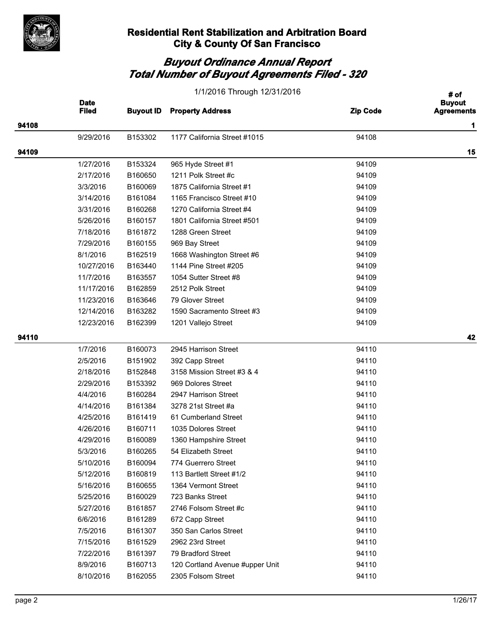

|       | 1/1/2016 Through 12/31/2016 |                  |                                 |                 |                                    |
|-------|-----------------------------|------------------|---------------------------------|-----------------|------------------------------------|
|       | <b>Date</b><br><b>Filed</b> | <b>Buyout ID</b> | <b>Property Address</b>         | <b>Zip Code</b> | <b>Buyout</b><br><b>Agreements</b> |
| 94108 |                             |                  |                                 |                 | 1                                  |
|       | 9/29/2016                   | B153302          | 1177 California Street #1015    | 94108           |                                    |
| 94109 |                             |                  |                                 |                 | 15                                 |
|       | 1/27/2016                   | B153324          | 965 Hyde Street #1              | 94109           |                                    |
|       | 2/17/2016                   | B160650          | 1211 Polk Street #c             | 94109           |                                    |
|       | 3/3/2016                    | B160069          | 1875 California Street #1       | 94109           |                                    |
|       | 3/14/2016                   | B161084          | 1165 Francisco Street #10       | 94109           |                                    |
|       | 3/31/2016                   | B160268          | 1270 California Street #4       | 94109           |                                    |
|       | 5/26/2016                   | B160157          | 1801 California Street #501     | 94109           |                                    |
|       | 7/18/2016                   | B161872          | 1288 Green Street               | 94109           |                                    |
|       | 7/29/2016                   | B160155          | 969 Bay Street                  | 94109           |                                    |
|       | 8/1/2016                    | B162519          | 1668 Washington Street #6       | 94109           |                                    |
|       | 10/27/2016                  | B163440          | 1144 Pine Street #205           | 94109           |                                    |
|       | 11/7/2016                   | B163557          | 1054 Sutter Street #8           | 94109           |                                    |
|       | 11/17/2016                  | B162859          | 2512 Polk Street                | 94109           |                                    |
|       | 11/23/2016                  | B163646          | 79 Glover Street                | 94109           |                                    |
|       | 12/14/2016                  | B163282          | 1590 Sacramento Street #3       | 94109           |                                    |
|       | 12/23/2016                  | B162399          | 1201 Vallejo Street             | 94109           |                                    |
| 94110 |                             |                  |                                 |                 | 42                                 |
|       | 1/7/2016                    | B160073          | 2945 Harrison Street            | 94110           |                                    |
|       | 2/5/2016                    | B151902          | 392 Capp Street                 | 94110           |                                    |
|       | 2/18/2016                   | B152848          | 3158 Mission Street #3 & 4      | 94110           |                                    |
|       | 2/29/2016                   | B153392          | 969 Dolores Street              | 94110           |                                    |
|       | 4/4/2016                    | B160284          | 2947 Harrison Street            | 94110           |                                    |
|       | 4/14/2016                   | B161384          | 3278 21st Street #a             | 94110           |                                    |
|       | 4/25/2016                   | B161419          | 61 Cumberland Street            | 94110           |                                    |
|       | 4/26/2016                   | B160711          | 1035 Dolores Street             | 94110           |                                    |
|       | 4/29/2016                   | B160089          | 1360 Hampshire Street           | 94110           |                                    |
|       | 5/3/2016                    | B160265          | 54 Elizabeth Street             | 94110           |                                    |
|       | 5/10/2016                   | B160094          | 774 Guerrero Street             | 94110           |                                    |
|       | 5/12/2016                   | B160819          | 113 Bartlett Street #1/2        | 94110           |                                    |
|       | 5/16/2016                   | B160655          | 1364 Vermont Street             | 94110           |                                    |
|       | 5/25/2016                   | B160029          | 723 Banks Street                | 94110           |                                    |
|       | 5/27/2016                   | B161857          | 2746 Folsom Street #c           | 94110           |                                    |
|       | 6/6/2016                    | B161289          | 672 Capp Street                 | 94110           |                                    |
|       | 7/5/2016                    | B161307          | 350 San Carlos Street           | 94110           |                                    |
|       | 7/15/2016                   | B161529          | 2962 23rd Street                | 94110           |                                    |
|       | 7/22/2016                   | B161397          | 79 Bradford Street              | 94110           |                                    |
|       | 8/9/2016                    | B160713          | 120 Cortland Avenue #upper Unit | 94110           |                                    |
|       | 8/10/2016                   | B162055          | 2305 Folsom Street              | 94110           |                                    |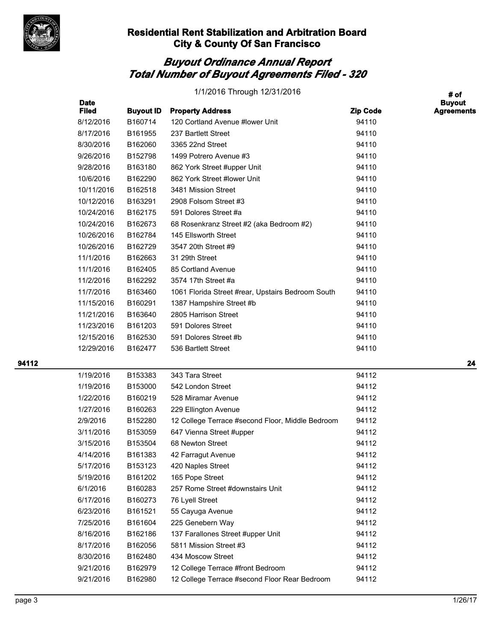

# *Buyout Ordinance Annual Report Total Number of Buyout Agreements Filed - 320*

| 1/1/2016 Through 12/31/2016 |  |
|-----------------------------|--|
|-----------------------------|--|

|       | <b>Date</b><br><b>Filed</b> | <b>Buyout ID</b> | <b>Property Address</b>                           | <b>Zip Code</b> | <b>Buyout</b><br><b>Agreements</b> |
|-------|-----------------------------|------------------|---------------------------------------------------|-----------------|------------------------------------|
|       | 8/12/2016                   | B160714          | 120 Cortland Avenue #lower Unit                   | 94110           |                                    |
|       | 8/17/2016                   | B161955          | 237 Bartlett Street                               | 94110           |                                    |
|       | 8/30/2016                   | B162060          | 3365 22nd Street                                  | 94110           |                                    |
|       | 9/26/2016                   | B152798          | 1499 Potrero Avenue #3                            | 94110           |                                    |
|       | 9/28/2016                   | B163180          | 862 York Street #upper Unit                       | 94110           |                                    |
|       | 10/6/2016                   | B162290          | 862 York Street #lower Unit                       | 94110           |                                    |
|       | 10/11/2016                  | B162518          | 3481 Mission Street                               | 94110           |                                    |
|       | 10/12/2016                  | B163291          | 2908 Folsom Street #3                             | 94110           |                                    |
|       | 10/24/2016                  | B162175          | 591 Dolores Street #a                             | 94110           |                                    |
|       | 10/24/2016                  | B162673          | 68 Rosenkranz Street #2 (aka Bedroom #2)          | 94110           |                                    |
|       | 10/26/2016                  | B162784          | 145 Ellsworth Street                              | 94110           |                                    |
|       | 10/26/2016                  | B162729          | 3547 20th Street #9                               | 94110           |                                    |
|       | 11/1/2016                   | B162663          | 31 29th Street                                    | 94110           |                                    |
|       | 11/1/2016                   | B162405          | 85 Cortland Avenue                                | 94110           |                                    |
|       | 11/2/2016                   | B162292          | 3574 17th Street #a                               | 94110           |                                    |
|       | 11/7/2016                   | B163460          | 1061 Florida Street #rear, Upstairs Bedroom South | 94110           |                                    |
|       | 11/15/2016                  | B160291          | 1387 Hampshire Street #b                          | 94110           |                                    |
|       | 11/21/2016                  | B163640          | 2805 Harrison Street                              | 94110           |                                    |
|       | 11/23/2016                  | B161203          | 591 Dolores Street                                | 94110           |                                    |
|       | 12/15/2016                  | B162530          | 591 Dolores Street #b                             | 94110           |                                    |
|       | 12/29/2016                  | B162477          | 536 Bartlett Street                               | 94110           |                                    |
| 94112 |                             |                  |                                                   |                 | 24                                 |
|       | 1/19/2016                   | B153383          | 343 Tara Street                                   | 94112           |                                    |
|       | 1/19/2016                   | B153000          | 542 London Street                                 | 94112           |                                    |
|       | 1/22/2016                   | B160219          | 528 Miramar Avenue                                | 94112           |                                    |
|       | 1/27/2016                   | B160263          | 229 Ellington Avenue                              | 94112           |                                    |
|       | 2/9/2016                    | B152280          | 12 College Terrace #second Floor, Middle Bedroom  | 94112           |                                    |
|       | 3/11/2016                   | B153059          | 647 Vienna Street #upper                          | 94112           |                                    |
|       | 3/15/2016                   | B153504          | 68 Newton Street                                  | 94112           |                                    |
|       | 4/14/2016                   | B161383          | 42 Farragut Avenue                                | 94112           |                                    |
|       | 5/17/2016                   | B153123          | 420 Naples Street                                 | 94112           |                                    |
|       | 5/19/2016                   | B161202          | 165 Pope Street                                   | 94112           |                                    |
|       | 6/1/2016                    | B160283          | 257 Rome Street #downstairs Unit                  | 94112           |                                    |
|       | 6/17/2016                   | B160273          | 76 Lyell Street                                   | 94112           |                                    |
|       | 6/23/2016                   | B161521          | 55 Cayuga Avenue                                  | 94112           |                                    |
|       | 7/25/2016                   | B161604          | 225 Genebern Way                                  | 94112           |                                    |
|       | 8/16/2016                   | B162186          | 137 Farallones Street #upper Unit                 | 94112           |                                    |
|       | 8/17/2016                   | B162056          | 5811 Mission Street #3                            | 94112           |                                    |
|       | 8/30/2016                   | B162480          | 434 Moscow Street                                 | 94112           |                                    |
|       | 9/21/2016                   | B162979          | 12 College Terrace #front Bedroom                 | 94112           |                                    |
|       | 9/21/2016                   | B162980          | 12 College Terrace #second Floor Rear Bedroom     | 94112           |                                    |

**# of**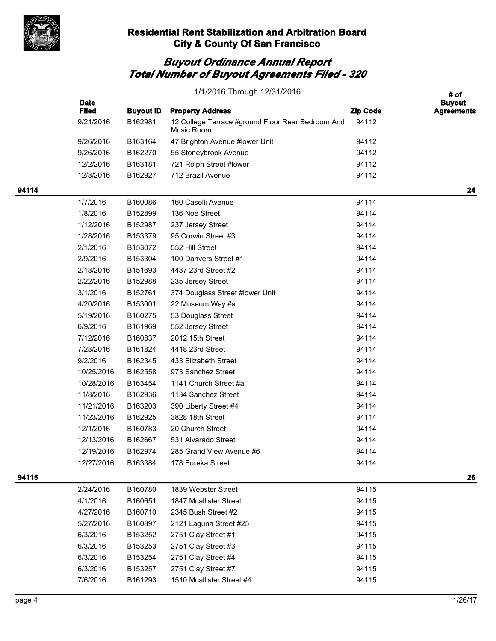

|       | 1/1/2016 Through 12/31/2016 |                  |                                                                 |                 | # of                               |  |
|-------|-----------------------------|------------------|-----------------------------------------------------------------|-----------------|------------------------------------|--|
|       | <b>Date</b><br><b>Filed</b> | <b>Buyout ID</b> | <b>Property Address</b>                                         | <b>Zip Code</b> | <b>Buyout</b><br><b>Agreements</b> |  |
|       | 9/21/2016                   | B162981          | 12 College Terrace #ground Floor Rear Bedroom And<br>Music Room | 94112           |                                    |  |
|       | 9/26/2016                   | B163164          | 47 Brighton Avenue #lower Unit                                  | 94112           |                                    |  |
|       | 9/26/2016                   | B162270          | 55 Stoneybrook Avenue                                           | 94112           |                                    |  |
|       | 12/2/2016                   | B163181          | 721 Rolph Street #lower                                         | 94112           |                                    |  |
|       | 12/8/2016                   | B162927          | 712 Brazil Avenue                                               | 94112           |                                    |  |
| 94114 |                             |                  |                                                                 |                 | 24                                 |  |
|       | 1/7/2016                    | B160086          | 160 Caselli Avenue                                              | 94114           |                                    |  |
|       | 1/8/2016                    | B152899          | 136 Noe Street                                                  | 94114           |                                    |  |
|       | 1/12/2016                   | B152987          | 237 Jersey Street                                               | 94114           |                                    |  |
|       | 1/28/2016                   | B153379          | 95 Corwin Street #3                                             | 94114           |                                    |  |
|       | 2/1/2016                    | B153072          | 552 Hill Street                                                 | 94114           |                                    |  |
|       | 2/9/2016                    | B153304          | 100 Danvers Street #1                                           | 94114           |                                    |  |
|       | 2/18/2016                   | B151693          | 4487 23rd Street #2                                             | 94114           |                                    |  |
|       | 2/22/2016                   | B152988          | 235 Jersey Street                                               | 94114           |                                    |  |
|       | 3/1/2016                    | B152761          | 374 Douglass Street #lower Unit                                 | 94114           |                                    |  |
|       | 4/20/2016                   | B153001          | 22 Museum Way #a                                                | 94114           |                                    |  |
|       | 5/19/2016                   | B160275          | 53 Douglass Street                                              | 94114           |                                    |  |
|       | 6/9/2016                    | B161969          | 552 Jersey Street                                               | 94114           |                                    |  |
|       | 7/12/2016                   | B160837          | 2012 15th Street                                                | 94114           |                                    |  |
|       | 7/28/2016                   | B161824          | 4418 23rd Street                                                | 94114           |                                    |  |
|       | 9/2/2016                    | B162345          | 433 Elizabeth Street                                            | 94114           |                                    |  |
|       | 10/25/2016                  | B162558          | 973 Sanchez Street                                              | 94114           |                                    |  |
|       | 10/28/2016                  | B163454          | 1141 Church Street #a                                           | 94114           |                                    |  |
|       | 11/8/2016                   | B162936          | 1134 Sanchez Street                                             | 94114           |                                    |  |
|       | 11/21/2016                  | B163203          | 390 Liberty Street #4                                           | 94114           |                                    |  |
|       | 11/23/2016                  | B162925          | 3828 18th Street                                                | 94114           |                                    |  |
|       | 12/1/2016                   | B160783          | 20 Church Street                                                | 94114           |                                    |  |
|       | 12/13/2016                  | B162667          | 531 Alvarado Street                                             | 94114           |                                    |  |
|       | 12/19/2016                  | B162974          | 285 Grand View Avenue #6                                        | 94114           |                                    |  |
|       | 12/27/2016                  | B163384          | 178 Eureka Street                                               | 94114           |                                    |  |
| 94115 |                             |                  |                                                                 |                 | 26                                 |  |
|       | 2/24/2016                   | B160780          | 1839 Webster Street                                             | 94115           |                                    |  |
|       | 4/1/2016                    | B160651          | 1847 Mcallister Street                                          | 94115           |                                    |  |
|       | 4/27/2016                   | B160710          | 2345 Bush Street #2                                             | 94115           |                                    |  |
|       | 5/27/2016                   | B160897          | 2121 Laguna Street #25                                          | 94115           |                                    |  |
|       | 6/3/2016                    | B153252          | 2751 Clay Street #1                                             | 94115           |                                    |  |
|       | 6/3/2016                    | B153253          | 2751 Clay Street #3                                             | 94115           |                                    |  |
|       | 6/3/2016                    | B153254          | 2751 Clay Street #4                                             | 94115           |                                    |  |
|       | 6/3/2016                    | B153257          | 2751 Clay Street #7                                             | 94115           |                                    |  |
|       | 7/6/2016                    | B161293          | 1510 Mcallister Street #4                                       | 94115           |                                    |  |
|       |                             |                  |                                                                 |                 |                                    |  |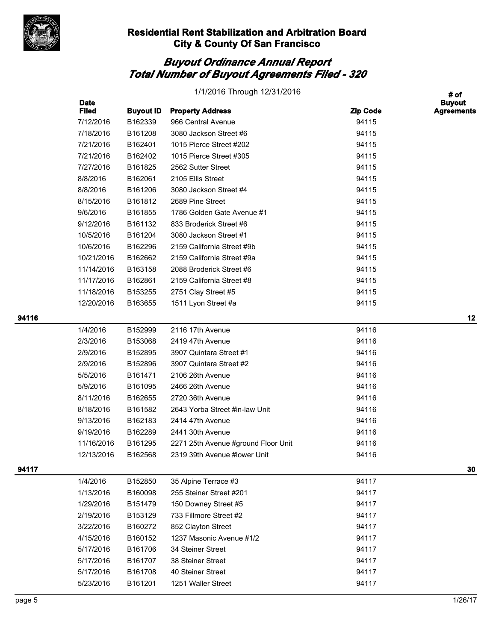

|       | <b>Date</b>  |                  | 1/1/2016 Through 12/31/2016         |                 | # of<br><b>Buyout</b> |
|-------|--------------|------------------|-------------------------------------|-----------------|-----------------------|
|       | <b>Filed</b> | <b>Buyout ID</b> | <b>Property Address</b>             | <b>Zip Code</b> | <b>Agreements</b>     |
|       | 7/12/2016    | B162339          | 966 Central Avenue                  | 94115           |                       |
|       | 7/18/2016    | B161208          | 3080 Jackson Street #6              | 94115           |                       |
|       | 7/21/2016    | B162401          | 1015 Pierce Street #202             | 94115           |                       |
|       | 7/21/2016    | B162402          | 1015 Pierce Street #305             | 94115           |                       |
|       | 7/27/2016    | B161825          | 2562 Sutter Street                  | 94115           |                       |
|       | 8/8/2016     | B162061          | 2105 Ellis Street                   | 94115           |                       |
|       | 8/8/2016     | B161206          | 3080 Jackson Street #4              | 94115           |                       |
|       | 8/15/2016    | B161812          | 2689 Pine Street                    | 94115           |                       |
|       | 9/6/2016     | B161855          | 1786 Golden Gate Avenue #1          | 94115           |                       |
|       | 9/12/2016    | B161132          | 833 Broderick Street #6             | 94115           |                       |
|       | 10/5/2016    | B161204          | 3080 Jackson Street #1              | 94115           |                       |
|       | 10/6/2016    | B162296          | 2159 California Street #9b          | 94115           |                       |
|       | 10/21/2016   | B162662          | 2159 California Street #9a          | 94115           |                       |
|       | 11/14/2016   | B163158          | 2088 Broderick Street #6            | 94115           |                       |
|       | 11/17/2016   | B162861          | 2159 California Street #8           | 94115           |                       |
|       | 11/18/2016   | B153255          | 2751 Clay Street #5                 | 94115           |                       |
|       | 12/20/2016   | B163655          | 1511 Lyon Street #a                 | 94115           |                       |
| 94116 |              |                  |                                     |                 | 12                    |
|       | 1/4/2016     | B152999          | 2116 17th Avenue                    | 94116           |                       |
|       | 2/3/2016     | B153068          | 2419 47th Avenue                    | 94116           |                       |
|       | 2/9/2016     | B152895          | 3907 Quintara Street #1             | 94116           |                       |
|       | 2/9/2016     | B152896          | 3907 Quintara Street #2             | 94116           |                       |
|       | 5/5/2016     | B161471          | 2106 26th Avenue                    | 94116           |                       |
|       | 5/9/2016     | B161095          | 2466 26th Avenue                    | 94116           |                       |
|       | 8/11/2016    | B162655          | 2720 36th Avenue                    | 94116           |                       |
|       | 8/18/2016    | B161582          | 2643 Yorba Street #in-law Unit      | 94116           |                       |
|       | 9/13/2016    | B162183          | 2414 47th Avenue                    | 94116           |                       |
|       | 9/19/2016    | B162289          | 2441 30th Avenue                    | 94116           |                       |
|       | 11/16/2016   | B161295          | 2271 25th Avenue #ground Floor Unit | 94116           |                       |
|       | 12/13/2016   | B162568          | 2319 39th Avenue #lower Unit        | 94116           |                       |
| 94117 |              |                  |                                     |                 | 30                    |
|       | 1/4/2016     | B152850          | 35 Alpine Terrace #3                | 94117           |                       |
|       | 1/13/2016    | B160098          | 255 Steiner Street #201             | 94117           |                       |
|       | 1/29/2016    | B151479          | 150 Downey Street #5                | 94117           |                       |
|       | 2/19/2016    | B153129          | 733 Fillmore Street #2              | 94117           |                       |
|       | 3/22/2016    | B160272          | 852 Clayton Street                  | 94117           |                       |
|       | 4/15/2016    | B160152          | 1237 Masonic Avenue #1/2            | 94117           |                       |
|       | 5/17/2016    | B161706          | 34 Steiner Street                   | 94117           |                       |
|       | 5/17/2016    | B161707          | 38 Steiner Street                   | 94117           |                       |
|       | 5/17/2016    | B161708          | 40 Steiner Street                   | 94117           |                       |
|       | 5/23/2016    | B161201          | 1251 Waller Street                  | 94117           |                       |
|       |              |                  |                                     |                 |                       |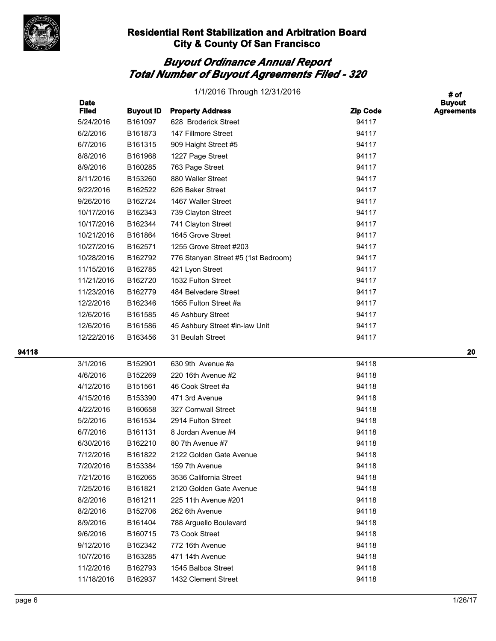

# *Buyout Ordinance Annual Report Total Number of Buyout Agreements Filed - 320*

| 1/1/2016 Through 12/31/2016 |  |
|-----------------------------|--|
|-----------------------------|--|

|       | <b>Date</b><br><b>Filed</b> | <b>Buyout ID</b> | <b>Property Address</b>             | <b>Zip Code</b> | <b>Buyout</b><br><b>Agreements</b> |
|-------|-----------------------------|------------------|-------------------------------------|-----------------|------------------------------------|
|       | 5/24/2016                   | B161097          | 628 Broderick Street                | 94117           |                                    |
|       | 6/2/2016                    | B161873          | 147 Fillmore Street                 | 94117           |                                    |
|       | 6/7/2016                    | B161315          | 909 Haight Street #5                | 94117           |                                    |
|       | 8/8/2016                    | B161968          | 1227 Page Street                    | 94117           |                                    |
|       | 8/9/2016                    | B160285          | 763 Page Street                     | 94117           |                                    |
|       | 8/11/2016                   | B153260          | 880 Waller Street                   | 94117           |                                    |
|       | 9/22/2016                   | B162522          | 626 Baker Street                    | 94117           |                                    |
|       | 9/26/2016                   | B162724          | 1467 Waller Street                  | 94117           |                                    |
|       | 10/17/2016                  | B162343          | 739 Clayton Street                  | 94117           |                                    |
|       | 10/17/2016                  | B162344          | 741 Clayton Street                  | 94117           |                                    |
|       | 10/21/2016                  | B161864          | 1645 Grove Street                   | 94117           |                                    |
|       | 10/27/2016                  | B162571          | 1255 Grove Street #203              | 94117           |                                    |
|       | 10/28/2016                  | B162792          | 776 Stanyan Street #5 (1st Bedroom) | 94117           |                                    |
|       | 11/15/2016                  | B162785          | 421 Lyon Street                     | 94117           |                                    |
|       | 11/21/2016                  | B162720          | 1532 Fulton Street                  | 94117           |                                    |
|       | 11/23/2016                  | B162779          | 484 Belvedere Street                | 94117           |                                    |
|       | 12/2/2016                   | B162346          | 1565 Fulton Street #a               | 94117           |                                    |
|       | 12/6/2016                   | B161585          | 45 Ashbury Street                   | 94117           |                                    |
|       | 12/6/2016                   | B161586          | 45 Ashbury Street #in-law Unit      | 94117           |                                    |
|       | 12/22/2016                  | B163456          | 31 Beulah Street                    | 94117           |                                    |
| 94118 |                             |                  |                                     |                 | 20                                 |
|       | 3/1/2016                    | B152901          | 630 9th Avenue #a                   | 94118           |                                    |
|       | 4/6/2016                    | B152269          | 220 16th Avenue #2                  | 94118           |                                    |
|       | 4/12/2016                   | B151561          | 46 Cook Street #a                   | 94118           |                                    |
|       | 4/15/2016                   | B153390          | 471 3rd Avenue                      | 94118           |                                    |
|       | 4/22/2016                   | B160658          | 327 Cornwall Street                 | 94118           |                                    |
|       | 5/2/2016                    | B161534          | 2914 Fulton Street                  | 94118           |                                    |
|       | 6/7/2016                    | B161131          | 8 Jordan Avenue #4                  | 94118           |                                    |
|       | 6/30/2016                   | B162210          | 80 7th Avenue #7                    | 94118           |                                    |
|       | 7/12/2016                   | B161822          | 2122 Golden Gate Avenue             | 94118           |                                    |
|       | 7/20/2016                   | B153384          | 159 7th Avenue                      | 94118           |                                    |
|       | 7/21/2016                   | B162065          | 3536 California Street              | 94118           |                                    |
|       | 7/25/2016                   | B161821          | 2120 Golden Gate Avenue             | 94118           |                                    |
|       | 8/2/2016                    | B161211          | 225 11th Avenue #201                | 94118           |                                    |
|       | 8/2/2016                    | B152706          | 262 6th Avenue                      | 94118           |                                    |
|       | 8/9/2016                    | B161404          | 788 Arguello Boulevard              | 94118           |                                    |
|       | 9/6/2016                    | B160715          | 73 Cook Street                      | 94118           |                                    |
|       | 9/12/2016                   | B162342          | 772 16th Avenue                     | 94118           |                                    |
|       | 10/7/2016                   | B163285          | 471 14th Avenue                     | 94118           |                                    |
|       | 11/2/2016                   | B162793          | 1545 Balboa Street                  | 94118           |                                    |
|       | 11/18/2016                  | B162937          | 1432 Clement Street                 | 94118           |                                    |

**# of**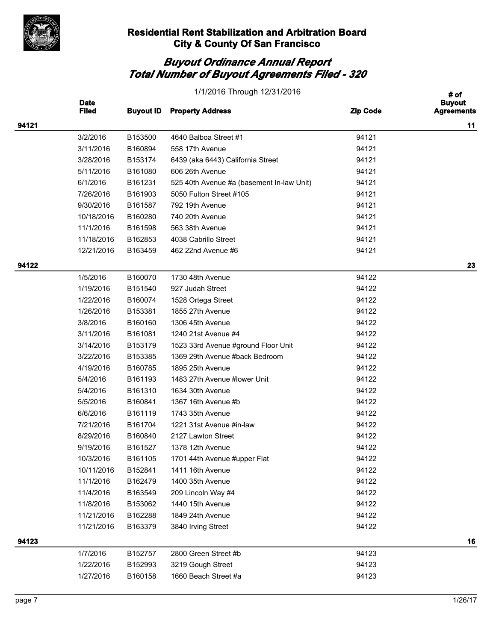

| # of<br><b>Date</b><br><b>Buyout</b><br><b>Filed</b><br><b>Buyout ID</b><br><b>Property Address</b><br><b>Zip Code</b><br><b>Agreements</b><br>94121<br>3/2/2016<br>4640 Balboa Street #1<br>94121<br>B153500<br>3/11/2016<br>B160894<br>94121<br>558 17th Avenue<br>3/28/2016<br>B153174<br>94121<br>6439 (aka 6443) California Street<br>5/11/2016<br>B161080<br>94121<br>606 26th Avenue<br>6/1/2016<br>B161231<br>94121<br>525 40th Avenue #a (basement In-law Unit)<br>7/26/2016<br>B161903<br>5050 Fulton Street #105<br>94121<br>9/30/2016<br>B161587<br>792 19th Avenue<br>94121<br>B160280<br>740 20th Avenue<br>94121<br>10/18/2016<br>11/1/2016<br>B161598<br>94121<br>563 38th Avenue<br>4038 Cabrillo Street<br>94121<br>11/18/2016<br>B162853<br>462 22nd Avenue #6<br>94121<br>12/21/2016<br>B163459<br>94122<br>1/5/2016<br>B160070<br>1730 48th Avenue<br>94122<br>94122<br>1/19/2016<br>B151540<br>927 Judah Street<br>1/22/2016<br>94122<br>B160074<br>1528 Ortega Street<br>1/26/2016<br>B153381<br>1855 27th Avenue<br>94122 |    |
|---------------------------------------------------------------------------------------------------------------------------------------------------------------------------------------------------------------------------------------------------------------------------------------------------------------------------------------------------------------------------------------------------------------------------------------------------------------------------------------------------------------------------------------------------------------------------------------------------------------------------------------------------------------------------------------------------------------------------------------------------------------------------------------------------------------------------------------------------------------------------------------------------------------------------------------------------------------------------------------------------------------------------------------------------|----|
|                                                                                                                                                                                                                                                                                                                                                                                                                                                                                                                                                                                                                                                                                                                                                                                                                                                                                                                                                                                                                                                   |    |
|                                                                                                                                                                                                                                                                                                                                                                                                                                                                                                                                                                                                                                                                                                                                                                                                                                                                                                                                                                                                                                                   | 11 |
|                                                                                                                                                                                                                                                                                                                                                                                                                                                                                                                                                                                                                                                                                                                                                                                                                                                                                                                                                                                                                                                   |    |
|                                                                                                                                                                                                                                                                                                                                                                                                                                                                                                                                                                                                                                                                                                                                                                                                                                                                                                                                                                                                                                                   |    |
|                                                                                                                                                                                                                                                                                                                                                                                                                                                                                                                                                                                                                                                                                                                                                                                                                                                                                                                                                                                                                                                   |    |
|                                                                                                                                                                                                                                                                                                                                                                                                                                                                                                                                                                                                                                                                                                                                                                                                                                                                                                                                                                                                                                                   |    |
|                                                                                                                                                                                                                                                                                                                                                                                                                                                                                                                                                                                                                                                                                                                                                                                                                                                                                                                                                                                                                                                   |    |
|                                                                                                                                                                                                                                                                                                                                                                                                                                                                                                                                                                                                                                                                                                                                                                                                                                                                                                                                                                                                                                                   |    |
|                                                                                                                                                                                                                                                                                                                                                                                                                                                                                                                                                                                                                                                                                                                                                                                                                                                                                                                                                                                                                                                   |    |
|                                                                                                                                                                                                                                                                                                                                                                                                                                                                                                                                                                                                                                                                                                                                                                                                                                                                                                                                                                                                                                                   |    |
|                                                                                                                                                                                                                                                                                                                                                                                                                                                                                                                                                                                                                                                                                                                                                                                                                                                                                                                                                                                                                                                   |    |
|                                                                                                                                                                                                                                                                                                                                                                                                                                                                                                                                                                                                                                                                                                                                                                                                                                                                                                                                                                                                                                                   |    |
|                                                                                                                                                                                                                                                                                                                                                                                                                                                                                                                                                                                                                                                                                                                                                                                                                                                                                                                                                                                                                                                   |    |
|                                                                                                                                                                                                                                                                                                                                                                                                                                                                                                                                                                                                                                                                                                                                                                                                                                                                                                                                                                                                                                                   | 23 |
|                                                                                                                                                                                                                                                                                                                                                                                                                                                                                                                                                                                                                                                                                                                                                                                                                                                                                                                                                                                                                                                   |    |
|                                                                                                                                                                                                                                                                                                                                                                                                                                                                                                                                                                                                                                                                                                                                                                                                                                                                                                                                                                                                                                                   |    |
|                                                                                                                                                                                                                                                                                                                                                                                                                                                                                                                                                                                                                                                                                                                                                                                                                                                                                                                                                                                                                                                   |    |
|                                                                                                                                                                                                                                                                                                                                                                                                                                                                                                                                                                                                                                                                                                                                                                                                                                                                                                                                                                                                                                                   |    |
| 3/8/2016<br>B160160<br>1306 45th Avenue<br>94122                                                                                                                                                                                                                                                                                                                                                                                                                                                                                                                                                                                                                                                                                                                                                                                                                                                                                                                                                                                                  |    |
| B161081<br>1240 21st Avenue #4<br>94122<br>3/11/2016                                                                                                                                                                                                                                                                                                                                                                                                                                                                                                                                                                                                                                                                                                                                                                                                                                                                                                                                                                                              |    |
| 3/14/2016<br>B153179<br>1523 33rd Avenue #ground Floor Unit<br>94122                                                                                                                                                                                                                                                                                                                                                                                                                                                                                                                                                                                                                                                                                                                                                                                                                                                                                                                                                                              |    |
| 3/22/2016<br>B153385<br>1369 29th Avenue #back Bedroom<br>94122                                                                                                                                                                                                                                                                                                                                                                                                                                                                                                                                                                                                                                                                                                                                                                                                                                                                                                                                                                                   |    |
| 4/19/2016<br>94122<br>B160785<br>1895 25th Avenue                                                                                                                                                                                                                                                                                                                                                                                                                                                                                                                                                                                                                                                                                                                                                                                                                                                                                                                                                                                                 |    |
| 5/4/2016<br>B161193<br>1483 27th Avenue #lower Unit<br>94122                                                                                                                                                                                                                                                                                                                                                                                                                                                                                                                                                                                                                                                                                                                                                                                                                                                                                                                                                                                      |    |
| 1634 30th Avenue<br>94122<br>5/4/2016<br>B161310                                                                                                                                                                                                                                                                                                                                                                                                                                                                                                                                                                                                                                                                                                                                                                                                                                                                                                                                                                                                  |    |
| 1367 16th Avenue #b<br>94122<br>5/5/2016<br>B160841                                                                                                                                                                                                                                                                                                                                                                                                                                                                                                                                                                                                                                                                                                                                                                                                                                                                                                                                                                                               |    |
| 6/6/2016<br>B161119<br>1743 35th Avenue<br>94122                                                                                                                                                                                                                                                                                                                                                                                                                                                                                                                                                                                                                                                                                                                                                                                                                                                                                                                                                                                                  |    |
| 94122<br>7/21/2016<br>B161704<br>1221 31st Avenue #in-law                                                                                                                                                                                                                                                                                                                                                                                                                                                                                                                                                                                                                                                                                                                                                                                                                                                                                                                                                                                         |    |
| 8/29/2016<br>B160840<br>2127 Lawton Street<br>94122                                                                                                                                                                                                                                                                                                                                                                                                                                                                                                                                                                                                                                                                                                                                                                                                                                                                                                                                                                                               |    |
| B161527<br>94122<br>9/19/2016<br>1378 12th Avenue                                                                                                                                                                                                                                                                                                                                                                                                                                                                                                                                                                                                                                                                                                                                                                                                                                                                                                                                                                                                 |    |
| 10/3/2016<br>B161105<br>1701 44th Avenue #upper Flat<br>94122                                                                                                                                                                                                                                                                                                                                                                                                                                                                                                                                                                                                                                                                                                                                                                                                                                                                                                                                                                                     |    |
| 10/11/2016<br>94122<br>B152841<br>1411 16th Avenue                                                                                                                                                                                                                                                                                                                                                                                                                                                                                                                                                                                                                                                                                                                                                                                                                                                                                                                                                                                                |    |
| 11/1/2016<br>B162479<br>1400 35th Avenue<br>94122                                                                                                                                                                                                                                                                                                                                                                                                                                                                                                                                                                                                                                                                                                                                                                                                                                                                                                                                                                                                 |    |
| 94122<br>11/4/2016<br>B163549<br>209 Lincoln Way #4                                                                                                                                                                                                                                                                                                                                                                                                                                                                                                                                                                                                                                                                                                                                                                                                                                                                                                                                                                                               |    |
| 11/8/2016<br>94122<br>B153062<br>1440 15th Avenue                                                                                                                                                                                                                                                                                                                                                                                                                                                                                                                                                                                                                                                                                                                                                                                                                                                                                                                                                                                                 |    |
| 11/21/2016<br>B162288<br>1849 24th Avenue<br>94122                                                                                                                                                                                                                                                                                                                                                                                                                                                                                                                                                                                                                                                                                                                                                                                                                                                                                                                                                                                                |    |
| 94122<br>11/21/2016<br>B163379<br>3840 Irving Street                                                                                                                                                                                                                                                                                                                                                                                                                                                                                                                                                                                                                                                                                                                                                                                                                                                                                                                                                                                              |    |
| 94123                                                                                                                                                                                                                                                                                                                                                                                                                                                                                                                                                                                                                                                                                                                                                                                                                                                                                                                                                                                                                                             | 16 |
| 1/7/2016<br>2800 Green Street #b<br>94123<br>B152757                                                                                                                                                                                                                                                                                                                                                                                                                                                                                                                                                                                                                                                                                                                                                                                                                                                                                                                                                                                              |    |
| 1/22/2016<br>B152993<br>3219 Gough Street<br>94123                                                                                                                                                                                                                                                                                                                                                                                                                                                                                                                                                                                                                                                                                                                                                                                                                                                                                                                                                                                                |    |
| 1/27/2016<br>1660 Beach Street #a<br>94123<br>B160158                                                                                                                                                                                                                                                                                                                                                                                                                                                                                                                                                                                                                                                                                                                                                                                                                                                                                                                                                                                             |    |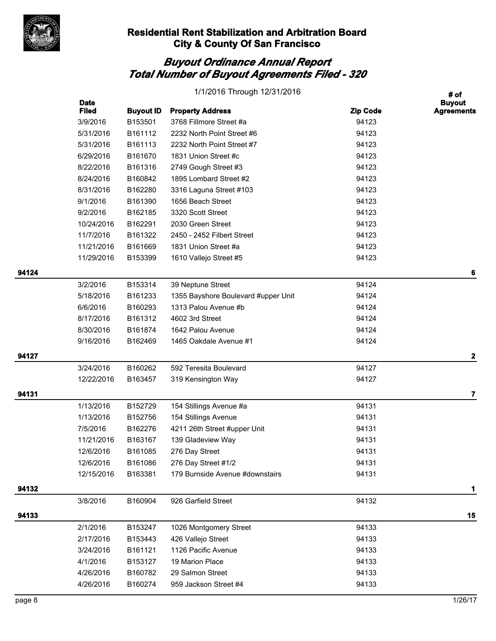

|       |                             |                  | 1/1/2016 Through 12/31/2016         |                 | # of                               |
|-------|-----------------------------|------------------|-------------------------------------|-----------------|------------------------------------|
|       | <b>Date</b><br><b>Filed</b> | <b>Buyout ID</b> | <b>Property Address</b>             | <b>Zip Code</b> | <b>Buyout</b><br><b>Agreements</b> |
|       | 3/9/2016                    | B153501          | 3768 Fillmore Street #a             | 94123           |                                    |
|       | 5/31/2016                   | B161112          | 2232 North Point Street #6          | 94123           |                                    |
|       | 5/31/2016                   | B161113          | 2232 North Point Street #7          | 94123           |                                    |
|       | 6/29/2016                   | B161670          | 1831 Union Street #c                | 94123           |                                    |
|       | 8/22/2016                   | B161316          | 2749 Gough Street #3                | 94123           |                                    |
|       | 8/24/2016                   | B160842          | 1895 Lombard Street #2              | 94123           |                                    |
|       | 8/31/2016                   | B162280          | 3316 Laguna Street #103             | 94123           |                                    |
|       | 9/1/2016                    | B161390          | 1656 Beach Street                   | 94123           |                                    |
|       | 9/2/2016                    | B162185          | 3320 Scott Street                   | 94123           |                                    |
|       | 10/24/2016                  | B162291          | 2030 Green Street                   | 94123           |                                    |
|       | 11/7/2016                   | B161322          | 2450 - 2452 Filbert Street          | 94123           |                                    |
|       | 11/21/2016                  | B161669          | 1831 Union Street #a                | 94123           |                                    |
|       | 11/29/2016                  | B153399          | 1610 Vallejo Street #5              | 94123           |                                    |
| 94124 |                             |                  |                                     |                 | 6                                  |
|       | 3/2/2016                    | B153314          | 39 Neptune Street                   | 94124           |                                    |
|       | 5/18/2016                   | B161233          | 1355 Bayshore Boulevard #upper Unit | 94124           |                                    |
|       | 6/6/2016                    | B160293          | 1313 Palou Avenue #b                | 94124           |                                    |
|       | 8/17/2016                   | B161312          | 4602 3rd Street                     | 94124           |                                    |
|       | 8/30/2016                   | B161874          | 1642 Palou Avenue                   | 94124           |                                    |
|       | 9/16/2016                   | B162469          | 1465 Oakdale Avenue #1              | 94124           |                                    |
| 94127 |                             |                  |                                     |                 | 2                                  |
|       | 3/24/2016                   | B160262          | 592 Teresita Boulevard              | 94127           |                                    |
|       | 12/22/2016                  | B163457          | 319 Kensington Way                  | 94127           |                                    |
| 94131 |                             |                  |                                     |                 | 7                                  |
|       | 1/13/2016                   | B152729          | 154 Stillings Avenue #a             | 94131           |                                    |
|       | 1/13/2016                   | B152756          | 154 Stillings Avenue                | 94131           |                                    |
|       | 7/5/2016                    | B162276          | 4211 26th Street #upper Unit        | 94131           |                                    |
|       | 11/21/2016                  | B163167          | 139 Gladeview Way                   | 94131           |                                    |
|       | 12/6/2016                   | B161085          | 276 Day Street                      | 94131           |                                    |
|       | 12/6/2016                   | B161086          | 276 Day Street #1/2                 | 94131           |                                    |
|       | 12/15/2016                  | B163381          | 179 Burnside Avenue #downstairs     | 94131           |                                    |
| 94132 |                             |                  |                                     |                 | 1                                  |
|       | 3/8/2016                    | B160904          | 926 Garfield Street                 | 94132           |                                    |
| 94133 |                             |                  |                                     |                 | 15                                 |
|       | 2/1/2016                    | B153247          | 1026 Montgomery Street              | 94133           |                                    |
|       | 2/17/2016                   | B153443          | 426 Vallejo Street                  | 94133           |                                    |
|       | 3/24/2016                   | B161121          | 1126 Pacific Avenue                 | 94133           |                                    |
|       | 4/1/2016                    | B153127          | 19 Marion Place                     | 94133           |                                    |
|       | 4/26/2016                   | B160782          | 29 Salmon Street                    | 94133           |                                    |
|       | 4/26/2016                   | B160274          | 959 Jackson Street #4               | 94133           |                                    |